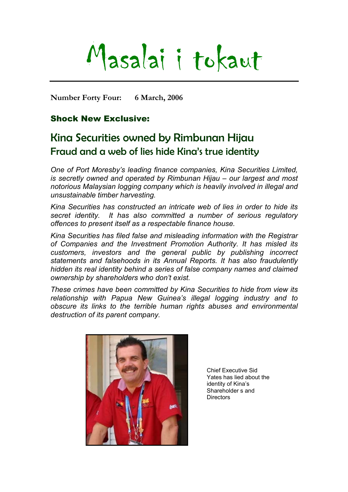# Masalai i tokaut

**Number Forty Four: 6 March, 2006** 

# Shock New Exclusive:

# Kina Securities owned by Rimbunan Hijau Fraud and a web of lies hide Kina's true identity

*One of Port Moresby's leading finance companies, Kina Securities Limited, is secretly owned and operated by Rimbunan Hijau – our largest and most notorious Malaysian logging company which is heavily involved in illegal and unsustainable timber harvesting.* 

*Kina Securities has constructed an intricate web of lies in order to hide its secret identity. It has also committed a number of serious regulatory offences to present itself as a respectable finance house.* 

*Kina Securities has filed false and misleading information with the Registrar of Companies and the Investment Promotion Authority. It has misled its customers, investors and the general public by publishing incorrect statements and falsehoods in its Annual Reports. It has also fraudulently hidden its real identity behind a series of false company names and claimed ownership by shareholders who don't exist.* 

*These crimes have been committed by Kina Securities to hide from view its relationship with Papua New Guinea's illegal logging industry and to obscure its links to the terrible human rights abuses and environmental destruction of its parent company.* 



Chief Executive Sid Yates has lied about the identity of Kina's Shareholder s and **Directors**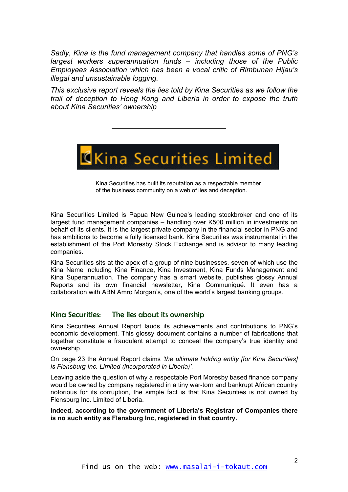*Sadly, Kina is the fund management company that handles some of PNG's largest workers superannuation funds – including those of the Public Employees Association which has been a vocal critic of Rimbunan Hijau's illegal and unsustainable logging.* 

*This exclusive report reveals the lies told by Kina Securities as we follow the trail of deception to Hong Kong and Liberia in order to expose the truth about Kina Securities' ownership* 



Kina Securities has built its reputation as a respectable member of the business community on a web of lies and deception.

Kina Securities Limited is Papua New Guinea's leading stockbroker and one of its largest fund management companies – handling over K500 million in investments on behalf of its clients. It is the largest private company in the financial sector in PNG and has ambitions to become a fully licensed bank. Kina Securities was instrumental in the establishment of the Port Moresby Stock Exchange and is advisor to many leading companies.

Kina Securities sits at the apex of a group of nine businesses, seven of which use the Kina Name including Kina Finance, Kina Investment, Kina Funds Management and Kina Superannuation. The company has a smart website, publishes glossy Annual Reports and its own financial newsletter, Kina Communiqué. It even has a collaboration with ABN Amro Morgan's, one of the world's largest banking groups.

# Kina Securities: The lies about its ownership

Kina Securities Annual Report lauds its achievements and contributions to PNG's economic development. This glossy document contains a number of fabrications that together constitute a fraudulent attempt to conceal the company's true identity and ownership.

On page 23 the Annual Report claims *'the ultimate holding entity [for Kina Securities] is Flensburg Inc. Limited (incorporated in Liberia)'.* 

Leaving aside the question of why a respectable Port Moresby based finance company would be owned by company registered in a tiny war-torn and bankrupt African country notorious for its corruption, the simple fact is that Kina Securities is not owned by Flensburg Inc. Limited of Liberia.

**Indeed, according to the government of Liberia's Registrar of Companies there is no such entity as Flensburg Inc, registered in that country.**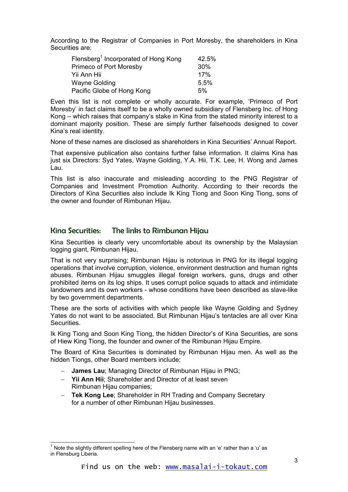According to the Registrar of Companies in Port Moresby, the shareholders in Kina Securities are:

| Flensberg <sup>1</sup> Incorporated of Hong Kong | 42.5% |
|--------------------------------------------------|-------|
| <b>Primeco of Port Moresby</b>                   | 30%   |
| Yii Ann Hii                                      | 17%   |
| <b>Wayne Golding</b>                             | 5.5%  |
| Pacific Globe of Hong Kong                       | 5%    |

Even this list is not complete or wholly accurate. For example, 'Primeco of Port Moresby' in fact claims itself to be a wholly owned subsidiary of Flensberg Inc. of Hong Kong – which raises that company's stake in Kina from the stated minority interest to a dominant majority position. These are simply further falsehoods designed to cover Kina's real identity.

None of these names are disclosed as shareholders in Kina Securities' Annual Report.

That expensive publication also contains further false information. It claims Kina has just six Directors: Syd Yates, Wayne Golding, Y.A. Hii, T.K. Lee, H. Wong and James Lau.

This list is also inaccurate and misleading according to the PNG Registrar of Companies and Investment Promotion Authority. According to their records the Directors of Kina Securities also include Ik King Tiong and Soon King Tiong, sons of the owner and founder of Rimbunan Hijau.

# Kina Securities: The links to Rimbunan Hijau

Kina Securities is clearly very uncomfortable about its ownership by the Malaysian logging giant, Rimbunan Hijau.

That is not very surprising; Rimbunan Hijau is notorious in PNG for its illegal logging operations that involve corruption, violence, environment destruction and human rights abuses. Rimbunan Hijau smuggles illegal foreign workers, guns, drugs and other prohibited items on its log ships. It uses corrupt police squads to attack and intimidate landowners and its own workers - whose conditions have been described as slave-like by two government departments.

These are the sorts of activities with which people like Wayne Golding and Sydney Yates do not want to be associated. But Rimbunan Hijau's tentacles are all over Kina Securities.

Ik King Tiong and Soon King Tiong, the hidden Director's of Kina Securities, are sons of Hiew King Tiong, the founder and owner of the Rimbunan Hijau Empire.

The Board of Kina Securities is dominated by Rimbunan Hijau men. As well as the hidden Tiongs, other Board members include:

- − **James Lau**; Managing Director of Rimbunan Hijau in PNG;
- − **Yii Ann Hii**; Shareholder and Director of at least seven Rimbunan Hijau companies;
- − **Tek Kong Lee**; Shareholder in RH Trading and Company Secretary for a number of other Rimbunan Hijau businesses.

<span id="page-2-0"></span>l <sup>1</sup> Note the slightly different spelling here of the Flensberg name with an 'e' rather than a 'u' as in Flensburg Liberia.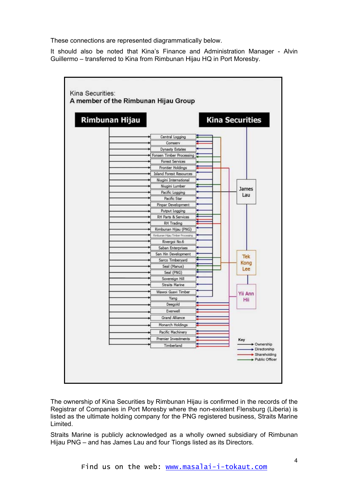These connections are represented diagrammatically below.

It should also be noted that Kina's Finance and Administration Manager - Alvin Guillermo – transferred to Kina from Rimbunan Hijau HQ in Port Moresby.



The ownership of Kina Securities by Rimbunan Hijau is confirmed in the records of the Registrar of Companies in Port Moresby where the non-existent Flensburg (Liberia) is listed as the ultimate holding company for the PNG registered business, Straits Marine Limited.

Straits Marine is publicly acknowledged as a wholly owned subsidiary of Rimbunan Hijau PNG – and has James Lau and four Tiongs listed as its Directors.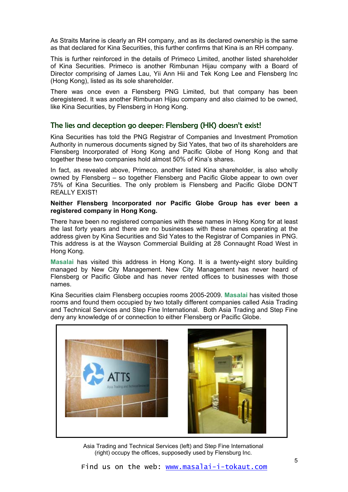As Straits Marine is clearly an RH company, and as its declared ownership is the same as that declared for Kina Securities, this further confirms that Kina is an RH company.

This is further reinforced in the details of Primeco Limited, another listed shareholder of Kina Securities. Primeco is another Rimbunan Hijau company with a Board of Director comprising of James Lau, Yii Ann Hii and Tek Kong Lee and Flensberg Inc (Hong Kong), listed as its sole shareholder.

There was once even a Flensberg PNG Limited, but that company has been deregistered. It was another Rimbunan Hijau company and also claimed to be owned, like Kina Securities, by Flensberg in Hong Kong.

# The lies and deception go deeper: Flensberg (HK) doesn't exist!

Kina Securities has told the PNG Registrar of Companies and Investment Promotion Authority in numerous documents signed by Sid Yates, that two of its shareholders are Flensberg Incorporated of Hong Kong and Pacific Globe of Hong Kong and that together these two companies hold almost 50% of Kina's shares.

In fact, as revealed above, Primeco, another listed Kina shareholder, is also wholly owned by Flensberg – so together Flensberg and Pacific Globe appear to own over 75% of Kina Securities. The only problem is Flensberg and Pacific Globe DON'T REALLY EXIST!

# **Neither Flensberg Incorporated nor Pacific Globe Group has ever been a registered company in Hong Kong.**

There have been no registered companies with these names in Hong Kong for at least the last forty years and there are no businesses with these names operating at the address given by Kina Securities and Sid Yates to the Registrar of Companies in PNG. This address is at the Wayson Commercial Building at 28 Connaught Road West in Hong Kong.

**Masalai** has visited this address in Hong Kong. It is a twenty-eight story building managed by New City Management. New City Management has never heard of Flensberg or Pacific Globe and has never rented offices to businesses with those names.

Kina Securities claim Flensberg occupies rooms 2005-2009. **Masalai** has visited those rooms and found them occupied by two totally different companies called Asia Trading and Technical Services and Step Fine International. Both Asia Trading and Step Fine deny any knowledge of or connection to either Flensberg or Pacific Globe.



Asia Trading and Technical Services (left) and Step Fine International (right) occupy the offices, supposedly used by Flensburg Inc.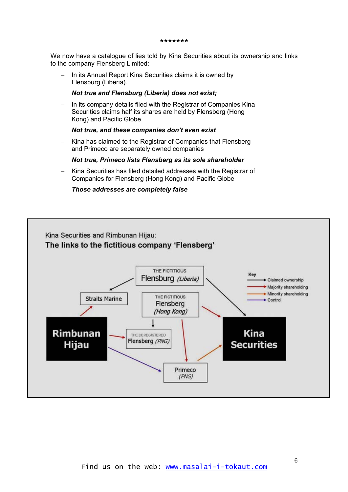#### \*\*\*\*\*\*\*

We now have a catalogue of lies told by Kina Securities about its ownership and links to the company Flensberg Limited:

In its Annual Report Kina Securities claims it is owned by Flensburg (Liberia). −

# *Not true and Flensburg (Liberia) does not exist;*

− In its company details filed with the Registrar of Companies Kina Securities claims half its shares are held by Flensberg (Hong Kong) and Pacific Globe

# *Not true, and these companies don't even exist*

− Kina has claimed to the Registrar of Companies that Flensberg and Primeco are separately owned companies

### *Not true, Primeco lists Flensberg as its sole shareholder*

− Kina Securities has filed detailed addresses with the Registrar of Companies for Flensberg (Hong Kong) and Pacific Globe

# *Those addresses are completely false*